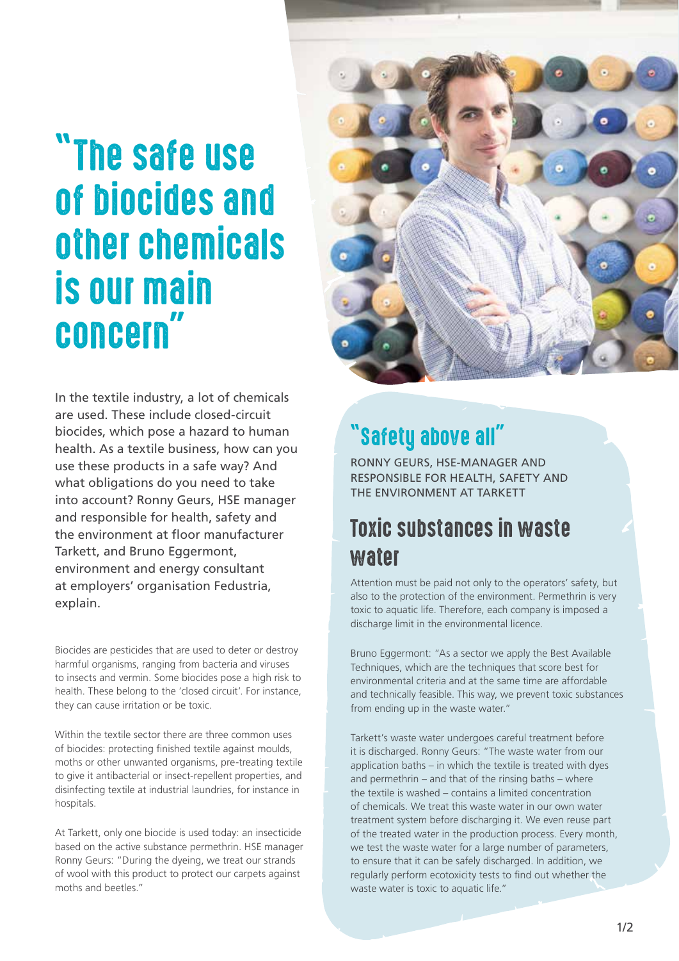# "The safe use of biocides and other chemicals is our main concern"

In the textile industry, a lot of chemicals are used. These include closed-circuit biocides, which pose a hazard to human health. As a textile business, how can you use these products in a safe way? And what obligations do you need to take into account? Ronny Geurs, HSE manager and responsible for health, safety and the environment at floor manufacturer Tarkett, and Bruno Eggermont, environment and energy consultant at employers' organisation Fedustria, explain.

Biocides are pesticides that are used to deter or destroy harmful organisms, ranging from bacteria and viruses to insects and vermin. Some biocides pose a high risk to health. These belong to the 'closed circuit'. For instance, they can cause irritation or be toxic.

Within the textile sector there are three common uses of biocides: protecting finished textile against moulds, moths or other unwanted organisms, pre-treating textile to give it antibacterial or insect-repellent properties, and disinfecting textile at industrial laundries, for instance in hospitals.

At Tarkett, only one biocide is used today: an insecticide based on the active substance permethrin. HSE manager Ronny Geurs: "During the dyeing, we treat our strands of wool with this product to protect our carpets against moths and beetles."



## "Safety above all"

RONNY GEURS, HSE-MANAGER AND RESPONSIBLE FOR HEALTH, SAFETY AND THE ENVIRONMENT AT TARKETT

#### Toxic substances in waste water

Attention must be paid not only to the operators' safety, but also to the protection of the environment. Permethrin is very toxic to aquatic life. Therefore, each company is imposed a discharge limit in the environmental licence.

Bruno Eggermont: "As a sector we apply the Best Available Techniques, which are the techniques that score best for environmental criteria and at the same time are affordable and technically feasible. This way, we prevent toxic substances from ending up in the waste water."

Tarkett's waste water undergoes careful treatment before it is discharged. Ronny Geurs: "The waste water from our application baths – in which the textile is treated with dyes and permethrin – and that of the rinsing baths – where the textile is washed – contains a limited concentration of chemicals. We treat this waste water in our own water treatment system before discharging it. We even reuse part of the treated water in the production process. Every month, we test the waste water for a large number of parameters, to ensure that it can be safely discharged. In addition, we regularly perform ecotoxicity tests to find out whether the waste water is toxic to aquatic life."